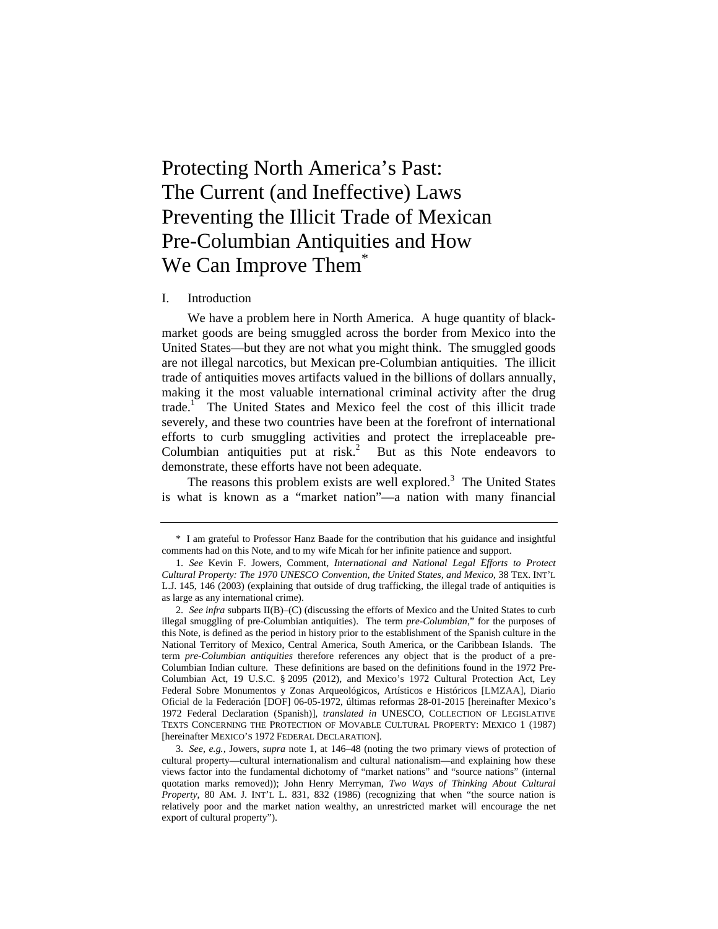# Protecting North America's Past: The Current (and Ineffective) Laws Preventing the Illicit Trade of Mexican Pre-Columbian Antiquities and How We Can Improve Them<sup>\*</sup>

#### I. Introduction

We have a problem here in North America. A huge quantity of blackmarket goods are being smuggled across the border from Mexico into the United States—but they are not what you might think. The smuggled goods are not illegal narcotics, but Mexican pre-Columbian antiquities. The illicit trade of antiquities moves artifacts valued in the billions of dollars annually, making it the most valuable international criminal activity after the drug trade.<sup>1</sup> The United States and Mexico feel the cost of this illicit trade severely, and these two countries have been at the forefront of international efforts to curb smuggling activities and protect the irreplaceable pre-Columbian antiquities put at risk.<sup>2</sup> But as this Note endeavors to demonstrate, these efforts have not been adequate.

The reasons this problem exists are well explored.<sup>3</sup> The United States is what is known as a "market nation"—a nation with many financial

<sup>\*</sup> I am grateful to Professor Hanz Baade for the contribution that his guidance and insightful comments had on this Note, and to my wife Micah for her infinite patience and support.

<sup>1.</sup> *See* Kevin F. Jowers, Comment, *International and National Legal Efforts to Protect Cultural Property: The 1970 UNESCO Convention, the United States, and Mexico*, 38 TEX. INT'L L.J. 145, 146 (2003) (explaining that outside of drug trafficking, the illegal trade of antiquities is as large as any international crime).

<sup>2.</sup> *See infra* subparts II(B)–(C) (discussing the efforts of Mexico and the United States to curb illegal smuggling of pre-Columbian antiquities). The term *pre-Columbian*," for the purposes of this Note, is defined as the period in history prior to the establishment of the Spanish culture in the National Territory of Mexico, Central America, South America, or the Caribbean Islands. The term *pre-Columbian antiquities* therefore references any object that is the product of a pre-Columbian Indian culture. These definitions are based on the definitions found in the 1972 Pre-Columbian Act, 19 U.S.C. § 2095 (2012), and Mexico's 1972 Cultural Protection Act, Ley Federal Sobre Monumentos y Zonas Arqueológicos, Artísticos e Históricos [LMZAA], Diario Oficial de la Federación [DOF] 06-05-1972, últimas reformas 28-01-2015 [hereinafter Mexico's 1972 Federal Declaration (Spanish)], *translated in* UNESCO, COLLECTION OF LEGISLATIVE TEXTS CONCERNING THE PROTECTION OF MOVABLE CULTURAL PROPERTY: MEXICO 1 (1987) [hereinafter MEXICO'S 1972 FEDERAL DECLARATION].

<sup>3.</sup> *See, e.g.*, Jowers, *supra* note 1, at 146–48 (noting the two primary views of protection of cultural property—cultural internationalism and cultural nationalism—and explaining how these views factor into the fundamental dichotomy of "market nations" and "source nations" (internal quotation marks removed)); John Henry Merryman, *Two Ways of Thinking About Cultural Property*, 80 AM. J. INT'L L. 831, 832 (1986) (recognizing that when "the source nation is relatively poor and the market nation wealthy, an unrestricted market will encourage the net export of cultural property").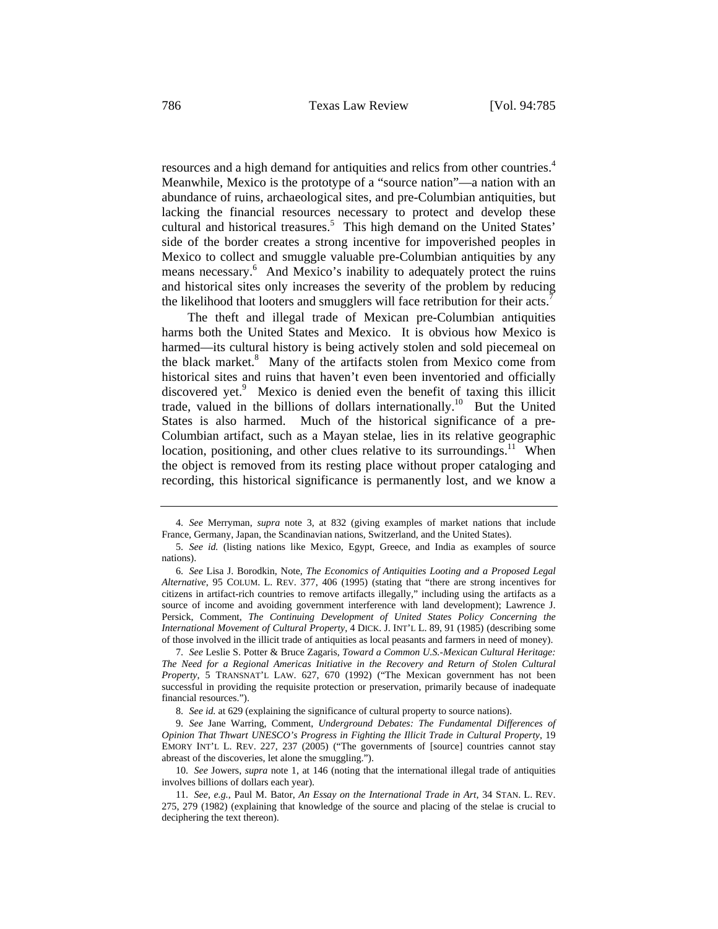resources and a high demand for antiquities and relics from other countries.<sup>4</sup> Meanwhile, Mexico is the prototype of a "source nation"—a nation with an abundance of ruins, archaeological sites, and pre-Columbian antiquities, but lacking the financial resources necessary to protect and develop these cultural and historical treasures.<sup>5</sup> This high demand on the United States' side of the border creates a strong incentive for impoverished peoples in Mexico to collect and smuggle valuable pre-Columbian antiquities by any means necessary.<sup>6</sup> And Mexico's inability to adequately protect the ruins and historical sites only increases the severity of the problem by reducing the likelihood that looters and smugglers will face retribution for their  $\arctan^7$ 

The theft and illegal trade of Mexican pre-Columbian antiquities harms both the United States and Mexico. It is obvious how Mexico is harmed—its cultural history is being actively stolen and sold piecemeal on the black market.<sup>8</sup> Many of the artifacts stolen from Mexico come from historical sites and ruins that haven't even been inventoried and officially discovered yet.<sup>9</sup> Mexico is denied even the benefit of taxing this illicit trade, valued in the billions of dollars internationally.<sup>10</sup> But the United States is also harmed. Much of the historical significance of a pre-Columbian artifact, such as a Mayan stelae, lies in its relative geographic location, positioning, and other clues relative to its surroundings.<sup>11</sup> When the object is removed from its resting place without proper cataloging and recording, this historical significance is permanently lost, and we know a

<sup>4.</sup> *See* Merryman, *supra* note 3, at 832 (giving examples of market nations that include France, Germany, Japan, the Scandinavian nations, Switzerland, and the United States).

<sup>5.</sup> *See id.* (listing nations like Mexico, Egypt, Greece, and India as examples of source nations).

<sup>6.</sup> *See* Lisa J. Borodkin, Note, *The Economics of Antiquities Looting and a Proposed Legal Alternative*, 95 COLUM. L. REV. 377, 406 (1995) (stating that "there are strong incentives for citizens in artifact-rich countries to remove artifacts illegally," including using the artifacts as a source of income and avoiding government interference with land development); Lawrence J. Persick, Comment, *The Continuing Development of United States Policy Concerning the International Movement of Cultural Property*, 4 DICK. J. INT'L L. 89, 91 (1985) (describing some of those involved in the illicit trade of antiquities as local peasants and farmers in need of money).

<sup>7.</sup> *See* Leslie S. Potter & Bruce Zagaris, *Toward a Common U.S.-Mexican Cultural Heritage: The Need for a Regional Americas Initiative in the Recovery and Return of Stolen Cultural Property*, 5 TRANSNAT'L LAW. 627, 670 (1992) ("The Mexican government has not been successful in providing the requisite protection or preservation, primarily because of inadequate financial resources.").

<sup>8.</sup> *See id.* at 629 (explaining the significance of cultural property to source nations).

<sup>9.</sup> *See* Jane Warring, Comment, *Underground Debates: The Fundamental Differences of Opinion That Thwart UNESCO's Progress in Fighting the Illicit Trade in Cultural Property*, 19 EMORY INT'L L. REV. 227, 237 (2005) ("The governments of [source] countries cannot stay abreast of the discoveries, let alone the smuggling.").

<sup>10.</sup> *See* Jowers, *supra* note 1, at 146 (noting that the international illegal trade of antiquities involves billions of dollars each year).

<sup>11.</sup> *See, e.g.*, Paul M. Bator, *An Essay on the International Trade in Art*, 34 STAN. L. REV. 275, 279 (1982) (explaining that knowledge of the source and placing of the stelae is crucial to deciphering the text thereon).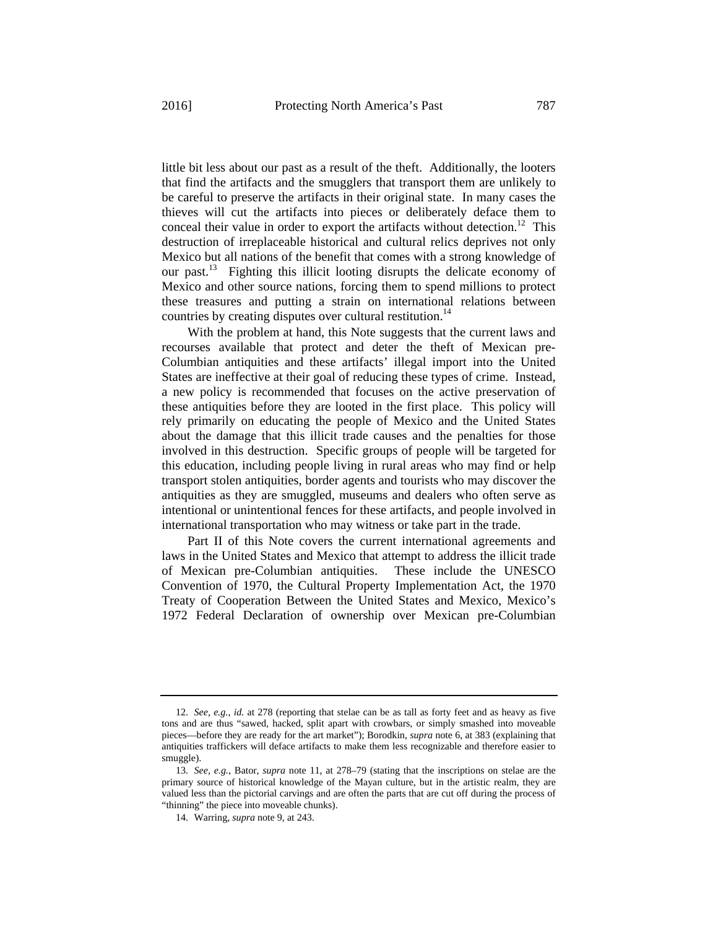little bit less about our past as a result of the theft. Additionally, the looters that find the artifacts and the smugglers that transport them are unlikely to be careful to preserve the artifacts in their original state. In many cases the thieves will cut the artifacts into pieces or deliberately deface them to conceal their value in order to export the artifacts without detection.<sup>12</sup> This destruction of irreplaceable historical and cultural relics deprives not only Mexico but all nations of the benefit that comes with a strong knowledge of our past.<sup>13</sup> Fighting this illicit looting disrupts the delicate economy of Mexico and other source nations, forcing them to spend millions to protect these treasures and putting a strain on international relations between countries by creating disputes over cultural restitution.<sup>14</sup>

With the problem at hand, this Note suggests that the current laws and recourses available that protect and deter the theft of Mexican pre-Columbian antiquities and these artifacts' illegal import into the United States are ineffective at their goal of reducing these types of crime. Instead, a new policy is recommended that focuses on the active preservation of these antiquities before they are looted in the first place. This policy will rely primarily on educating the people of Mexico and the United States about the damage that this illicit trade causes and the penalties for those involved in this destruction. Specific groups of people will be targeted for this education, including people living in rural areas who may find or help transport stolen antiquities, border agents and tourists who may discover the antiquities as they are smuggled, museums and dealers who often serve as intentional or unintentional fences for these artifacts, and people involved in international transportation who may witness or take part in the trade.

Part II of this Note covers the current international agreements and laws in the United States and Mexico that attempt to address the illicit trade of Mexican pre-Columbian antiquities. These include the UNESCO Convention of 1970, the Cultural Property Implementation Act, the 1970 Treaty of Cooperation Between the United States and Mexico, Mexico's 1972 Federal Declaration of ownership over Mexican pre-Columbian

<sup>12.</sup> *See, e.g.*, *id.* at 278 (reporting that stelae can be as tall as forty feet and as heavy as five tons and are thus "sawed, hacked, split apart with crowbars, or simply smashed into moveable pieces—before they are ready for the art market"); Borodkin, *supra* note 6, at 383 (explaining that antiquities traffickers will deface artifacts to make them less recognizable and therefore easier to smuggle).

<sup>13.</sup> *See, e.g.*, Bator, *supra* note 11, at 278–79 (stating that the inscriptions on stelae are the primary source of historical knowledge of the Mayan culture, but in the artistic realm, they are valued less than the pictorial carvings and are often the parts that are cut off during the process of "thinning" the piece into moveable chunks).

<sup>14.</sup> Warring, *supra* note 9, at 243.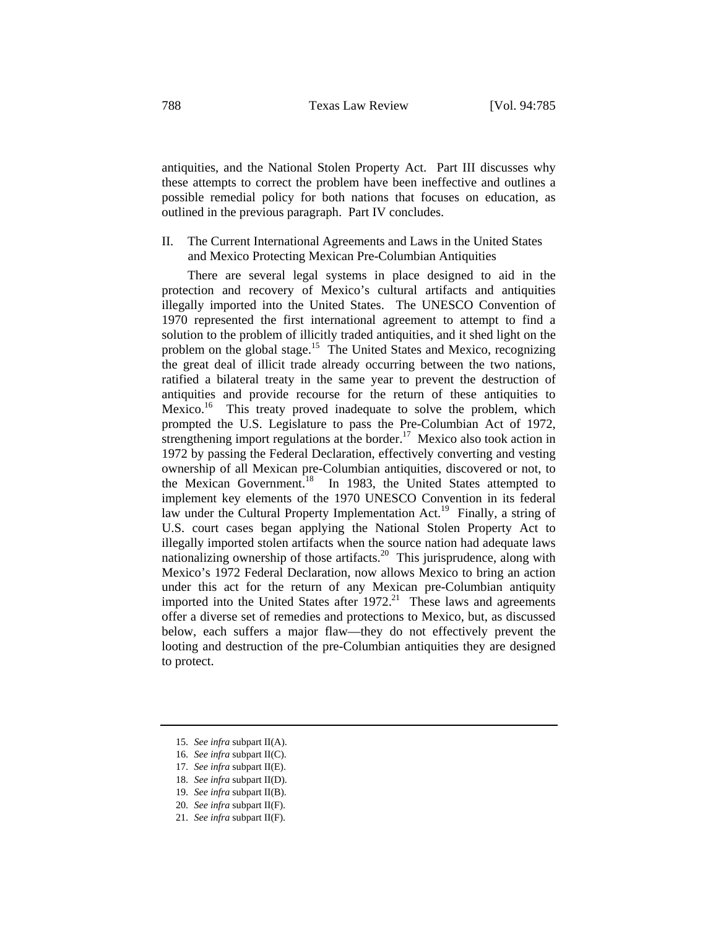antiquities, and the National Stolen Property Act. Part III discusses why these attempts to correct the problem have been ineffective and outlines a possible remedial policy for both nations that focuses on education, as outlined in the previous paragraph. Part IV concludes.

# II. The Current International Agreements and Laws in the United States and Mexico Protecting Mexican Pre-Columbian Antiquities

There are several legal systems in place designed to aid in the protection and recovery of Mexico's cultural artifacts and antiquities illegally imported into the United States. The UNESCO Convention of 1970 represented the first international agreement to attempt to find a solution to the problem of illicitly traded antiquities, and it shed light on the problem on the global stage.15 The United States and Mexico, recognizing the great deal of illicit trade already occurring between the two nations, ratified a bilateral treaty in the same year to prevent the destruction of antiquities and provide recourse for the return of these antiquities to Mexico.<sup>16</sup> This treaty proved inadequate to solve the problem, which prompted the U.S. Legislature to pass the Pre-Columbian Act of 1972, strengthening import regulations at the border.<sup>17</sup> Mexico also took action in 1972 by passing the Federal Declaration, effectively converting and vesting ownership of all Mexican pre-Columbian antiquities, discovered or not, to the Mexican Government.<sup>18</sup> In 1983, the United States attempted to implement key elements of the 1970 UNESCO Convention in its federal law under the Cultural Property Implementation Act.<sup>19</sup> Finally, a string of U.S. court cases began applying the National Stolen Property Act to illegally imported stolen artifacts when the source nation had adequate laws nationalizing ownership of those artifacts.20 This jurisprudence, along with Mexico's 1972 Federal Declaration, now allows Mexico to bring an action under this act for the return of any Mexican pre-Columbian antiquity imported into the United States after  $1972$ <sup>21</sup> These laws and agreements offer a diverse set of remedies and protections to Mexico, but, as discussed below, each suffers a major flaw—they do not effectively prevent the looting and destruction of the pre-Columbian antiquities they are designed to protect.

19. *See infra* subpart II(B).

<sup>15.</sup> *See infra* subpart II(A).

<sup>16.</sup> *See infra* subpart II(C).

<sup>17.</sup> *See infra* subpart II(E).

<sup>18.</sup> *See infra* subpart II(D).

<sup>20.</sup> *See infra* subpart II(F).

<sup>21.</sup> *See infra* subpart II(F).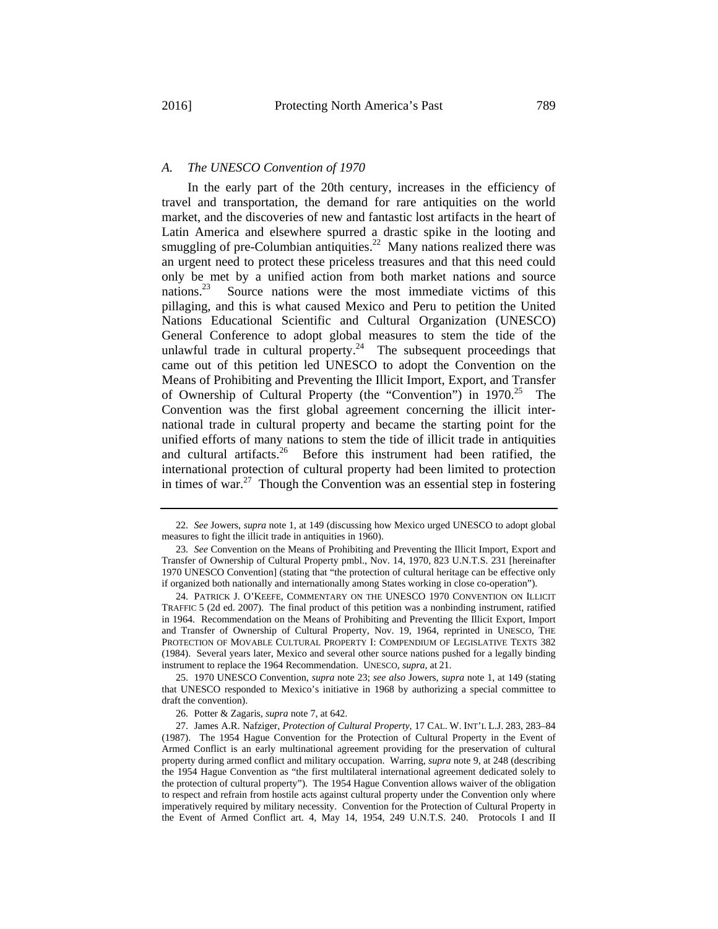### *A. The UNESCO Convention of 1970*

In the early part of the 20th century, increases in the efficiency of travel and transportation, the demand for rare antiquities on the world market, and the discoveries of new and fantastic lost artifacts in the heart of Latin America and elsewhere spurred a drastic spike in the looting and smuggling of pre-Columbian antiquities.<sup>22</sup> Many nations realized there was an urgent need to protect these priceless treasures and that this need could only be met by a unified action from both market nations and source nations.23 Source nations were the most immediate victims of this pillaging, and this is what caused Mexico and Peru to petition the United Nations Educational Scientific and Cultural Organization (UNESCO) General Conference to adopt global measures to stem the tide of the unlawful trade in cultural property.<sup>24</sup> The subsequent proceedings that came out of this petition led UNESCO to adopt the Convention on the Means of Prohibiting and Preventing the Illicit Import, Export, and Transfer of Ownership of Cultural Property (the "Convention") in  $1970^{25}$  The Convention was the first global agreement concerning the illicit international trade in cultural property and became the starting point for the unified efforts of many nations to stem the tide of illicit trade in antiquities and cultural artifacts. $26$  Before this instrument had been ratified, the international protection of cultural property had been limited to protection in times of war. $27$  Though the Convention was an essential step in fostering

25. 1970 UNESCO Convention, *supra* note 23; *see also* Jowers, *supra* note 1, at 149 (stating that UNESCO responded to Mexico's initiative in 1968 by authorizing a special committee to draft the convention).

<sup>22.</sup> *See* Jowers, *supra* note 1, at 149 (discussing how Mexico urged UNESCO to adopt global measures to fight the illicit trade in antiquities in 1960).

<sup>23.</sup> *See* Convention on the Means of Prohibiting and Preventing the Illicit Import, Export and Transfer of Ownership of Cultural Property pmbl., Nov. 14, 1970, 823 U.N.T.S. 231 [hereinafter 1970 UNESCO Convention] (stating that "the protection of cultural heritage can be effective only if organized both nationally and internationally among States working in close co-operation").

<sup>24.</sup> PATRICK J. O'KEEFE, COMMENTARY ON THE UNESCO 1970 CONVENTION ON ILLICIT TRAFFIC 5 (2d ed. 2007). The final product of this petition was a nonbinding instrument, ratified in 1964. Recommendation on the Means of Prohibiting and Preventing the Illicit Export, Import and Transfer of Ownership of Cultural Property, Nov. 19, 1964, reprinted in UNESCO, THE PROTECTION OF MOVABLE CULTURAL PROPERTY I: COMPENDIUM OF LEGISLATIVE TEXTS 382 (1984). Several years later, Mexico and several other source nations pushed for a legally binding instrument to replace the 1964 Recommendation. UNESCO, *supra*, at 21.

<sup>26.</sup> Potter & Zagaris, *supra* note 7, at 642.

<sup>27.</sup> James A.R. Nafziger, *Protection of Cultural Property*, 17 CAL. W. INT'L L.J. 283, 283–84 (1987). The 1954 Hague Convention for the Protection of Cultural Property in the Event of Armed Conflict is an early multinational agreement providing for the preservation of cultural property during armed conflict and military occupation. Warring, *supra* note 9, at 248 (describing the 1954 Hague Convention as "the first multilateral international agreement dedicated solely to the protection of cultural property"). The 1954 Hague Convention allows waiver of the obligation to respect and refrain from hostile acts against cultural property under the Convention only where imperatively required by military necessity. Convention for the Protection of Cultural Property in the Event of Armed Conflict art. 4, May 14, 1954, 249 U.N.T.S. 240. Protocols I and II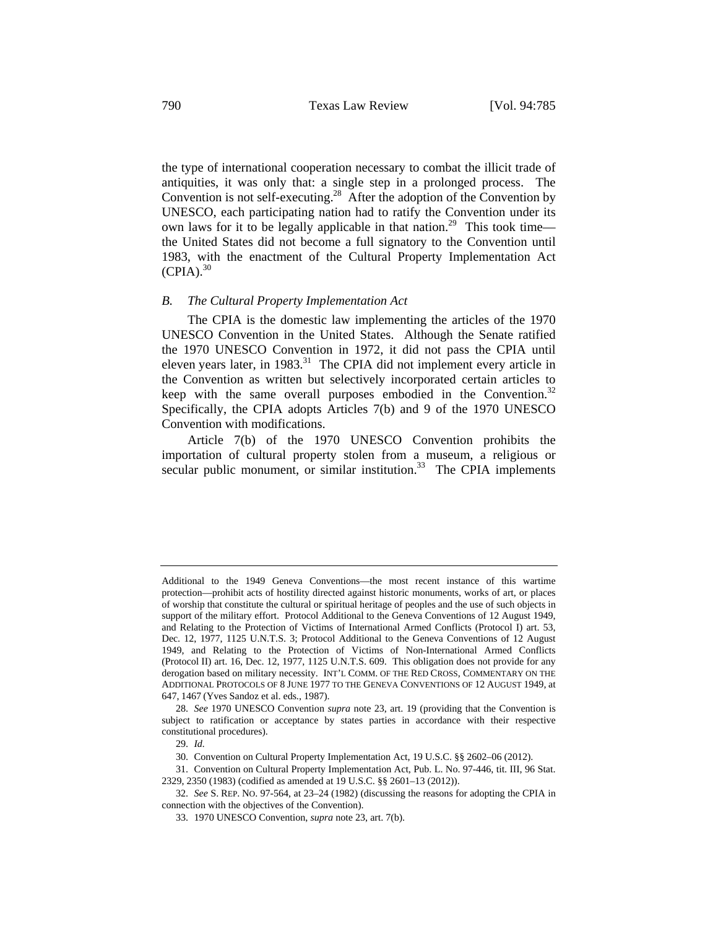the type of international cooperation necessary to combat the illicit trade of antiquities, it was only that: a single step in a prolonged process. The Convention is not self-executing.<sup>28</sup> After the adoption of the Convention by UNESCO, each participating nation had to ratify the Convention under its own laws for it to be legally applicable in that nation.<sup>29</sup> This took time the United States did not become a full signatory to the Convention until 1983, with the enactment of the Cultural Property Implementation Act  $(CPIA).$ <sup>30</sup>

#### *B. The Cultural Property Implementation Act*

The CPIA is the domestic law implementing the articles of the 1970 UNESCO Convention in the United States. Although the Senate ratified the 1970 UNESCO Convention in 1972, it did not pass the CPIA until eleven years later, in  $1983$ <sup>31</sup> The CPIA did not implement every article in the Convention as written but selectively incorporated certain articles to keep with the same overall purposes embodied in the Convention.<sup>32</sup> Specifically, the CPIA adopts Articles 7(b) and 9 of the 1970 UNESCO Convention with modifications.

Article 7(b) of the 1970 UNESCO Convention prohibits the importation of cultural property stolen from a museum, a religious or secular public monument, or similar institution.<sup>33</sup> The CPIA implements

Additional to the 1949 Geneva Conventions—the most recent instance of this wartime protection—prohibit acts of hostility directed against historic monuments, works of art, or places of worship that constitute the cultural or spiritual heritage of peoples and the use of such objects in support of the military effort. Protocol Additional to the Geneva Conventions of 12 August 1949, and Relating to the Protection of Victims of International Armed Conflicts (Protocol I) art. 53, Dec. 12, 1977, 1125 U.N.T.S. 3; Protocol Additional to the Geneva Conventions of 12 August 1949, and Relating to the Protection of Victims of Non-International Armed Conflicts (Protocol II) art. 16, Dec. 12, 1977, 1125 U.N.T.S. 609. This obligation does not provide for any derogation based on military necessity. INT'L COMM. OF THE RED CROSS, COMMENTARY ON THE ADDITIONAL PROTOCOLS OF 8 JUNE 1977 TO THE GENEVA CONVENTIONS OF 12 AUGUST 1949, at 647, 1467 (Yves Sandoz et al. eds., 1987).

<sup>28.</sup> *See* 1970 UNESCO Convention *supra* note 23, art. 19 (providing that the Convention is subject to ratification or acceptance by states parties in accordance with their respective constitutional procedures).

<sup>29.</sup> *Id.*

<sup>30.</sup> Convention on Cultural Property Implementation Act, 19 U.S.C. §§ 2602–06 (2012).

<sup>31.</sup> Convention on Cultural Property Implementation Act, Pub. L. No. 97-446, tit. III, 96 Stat. 2329, 2350 (1983) (codified as amended at 19 U.S.C. §§ 2601–13 (2012)).

<sup>32.</sup> *See* S. REP. NO. 97-564, at 23–24 (1982) (discussing the reasons for adopting the CPIA in connection with the objectives of the Convention).

<sup>33. 1970</sup> UNESCO Convention, *supra* note 23, art. 7(b).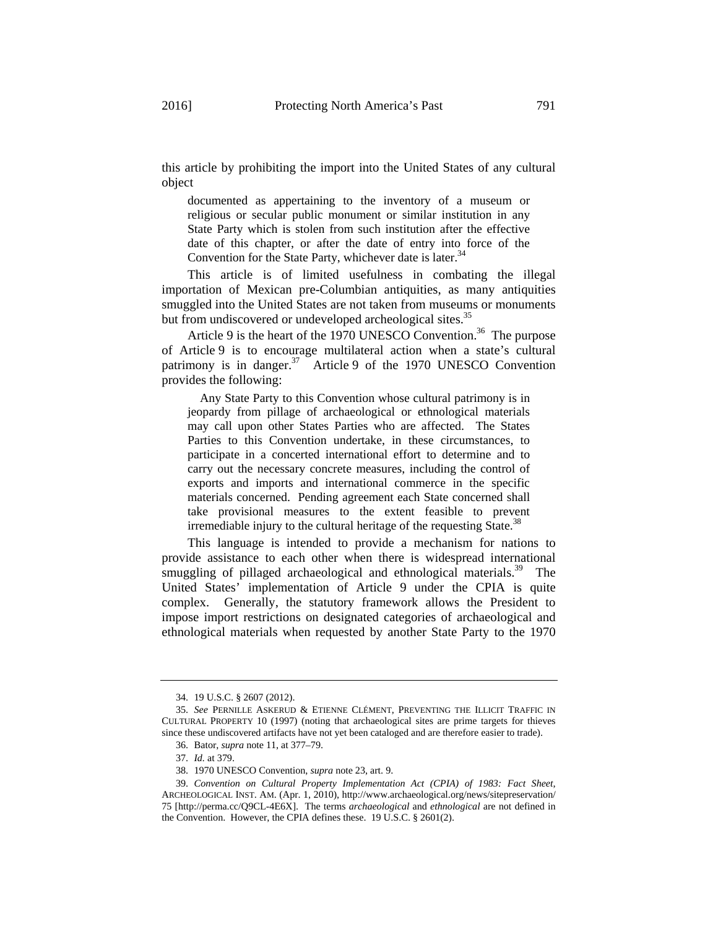this article by prohibiting the import into the United States of any cultural object

documented as appertaining to the inventory of a museum or religious or secular public monument or similar institution in any State Party which is stolen from such institution after the effective date of this chapter, or after the date of entry into force of the Convention for the State Party, whichever date is later.<sup>34</sup>

This article is of limited usefulness in combating the illegal importation of Mexican pre-Columbian antiquities, as many antiquities smuggled into the United States are not taken from museums or monuments but from undiscovered or undeveloped archeological sites.<sup>35</sup>

Article 9 is the heart of the 1970 UNESCO Convention.<sup>36</sup> The purpose of Article 9 is to encourage multilateral action when a state's cultural patrimony is in danger. $37$  Article 9 of the 1970 UNESCO Convention provides the following:

 Any State Party to this Convention whose cultural patrimony is in jeopardy from pillage of archaeological or ethnological materials may call upon other States Parties who are affected. The States Parties to this Convention undertake, in these circumstances, to participate in a concerted international effort to determine and to carry out the necessary concrete measures, including the control of exports and imports and international commerce in the specific materials concerned. Pending agreement each State concerned shall take provisional measures to the extent feasible to prevent irremediable injury to the cultural heritage of the requesting State.<sup>38</sup>

This language is intended to provide a mechanism for nations to provide assistance to each other when there is widespread international smuggling of pillaged archaeological and ethnological materials.<sup>39</sup> The United States' implementation of Article 9 under the CPIA is quite complex. Generally, the statutory framework allows the President to impose import restrictions on designated categories of archaeological and ethnological materials when requested by another State Party to the 1970

<sup>34. 19</sup> U.S.C. § 2607 (2012).

<sup>35.</sup> *See* PERNILLE ASKERUD & ETIENNE CLÉMENT, PREVENTING THE ILLICIT TRAFFIC IN CULTURAL PROPERTY 10 (1997) (noting that archaeological sites are prime targets for thieves since these undiscovered artifacts have not yet been cataloged and are therefore easier to trade).

<sup>36.</sup> Bator, *supra* note 11, at 377–79.

<sup>37.</sup> *Id.* at 379.

<sup>38. 1970</sup> UNESCO Convention, *supra* note 23, art. 9.

<sup>39.</sup> *Convention on Cultural Property Implementation Act (CPIA) of 1983: Fact Sheet*, ARCHEOLOGICAL INST. AM. (Apr. 1, 2010), http://www.archaeological.org/news/sitepreservation/ 75 [http://perma.cc/Q9CL-4E6X]. The terms *archaeological* and *ethnological* are not defined in the Convention. However, the CPIA defines these. 19 U.S.C. § 2601(2).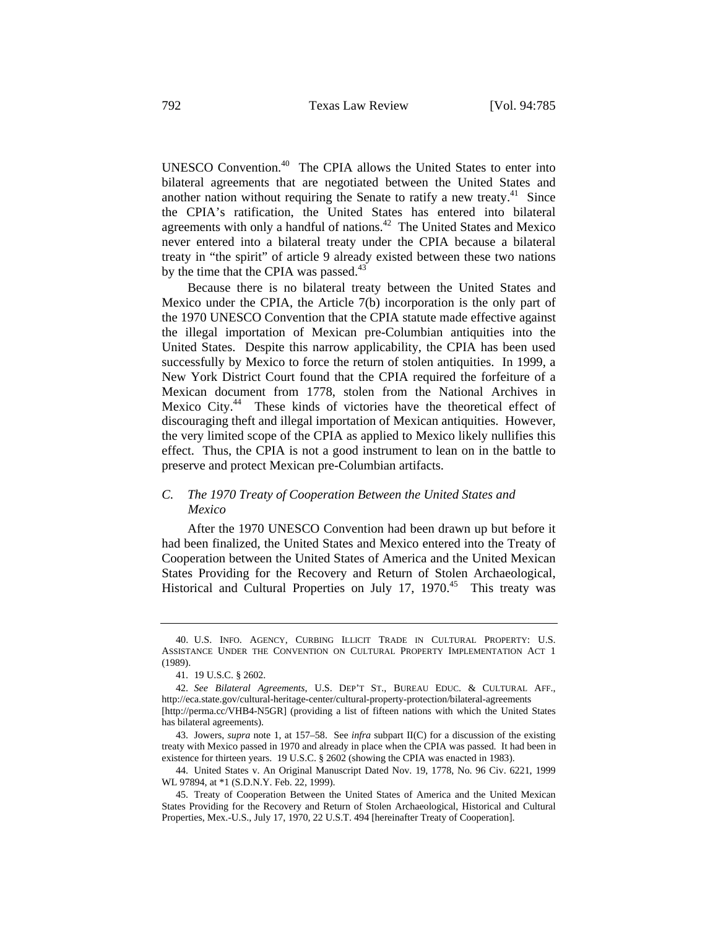UNESCO Convention.40 The CPIA allows the United States to enter into bilateral agreements that are negotiated between the United States and another nation without requiring the Senate to ratify a new treaty.<sup>41</sup> Since the CPIA's ratification, the United States has entered into bilateral agreements with only a handful of nations.42 The United States and Mexico never entered into a bilateral treaty under the CPIA because a bilateral treaty in "the spirit" of article 9 already existed between these two nations by the time that the CPIA was passed.<sup>43</sup>

Because there is no bilateral treaty between the United States and Mexico under the CPIA, the Article 7(b) incorporation is the only part of the 1970 UNESCO Convention that the CPIA statute made effective against the illegal importation of Mexican pre-Columbian antiquities into the United States. Despite this narrow applicability, the CPIA has been used successfully by Mexico to force the return of stolen antiquities. In 1999, a New York District Court found that the CPIA required the forfeiture of a Mexican document from 1778, stolen from the National Archives in Mexico City.<sup>44</sup> These kinds of victories have the theoretical effect of discouraging theft and illegal importation of Mexican antiquities. However, the very limited scope of the CPIA as applied to Mexico likely nullifies this effect. Thus, the CPIA is not a good instrument to lean on in the battle to preserve and protect Mexican pre-Columbian artifacts.

# *C. The 1970 Treaty of Cooperation Between the United States and Mexico*

After the 1970 UNESCO Convention had been drawn up but before it had been finalized, the United States and Mexico entered into the Treaty of Cooperation between the United States of America and the United Mexican States Providing for the Recovery and Return of Stolen Archaeological, Historical and Cultural Properties on July 17, 1970.<sup>45</sup> This treaty was

<sup>40.</sup> U.S. INFO. AGENCY, CURBING ILLICIT TRADE IN CULTURAL PROPERTY: U.S. ASSISTANCE UNDER THE CONVENTION ON CULTURAL PROPERTY IMPLEMENTATION ACT 1 (1989).

<sup>41. 19</sup> U.S.C. § 2602.

<sup>42.</sup> *See Bilateral Agreements*, U.S. DEP'T ST., BUREAU EDUC. & CULTURAL AFF., http://eca.state.gov/cultural-heritage-center/cultural-property-protection/bilateral-agreements [http://perma.cc/VHB4-N5GR] (providing a list of fifteen nations with which the United States has bilateral agreements).

<sup>43.</sup> Jowers, *supra* note 1, at 157–58. See *infra* subpart II(C) for a discussion of the existing treaty with Mexico passed in 1970 and already in place when the CPIA was passed. It had been in existence for thirteen years. 19 U.S.C. § 2602 (showing the CPIA was enacted in 1983).

<sup>44.</sup> United States v. An Original Manuscript Dated Nov. 19, 1778, No. 96 Civ. 6221, 1999 WL 97894, at \*1 (S.D.N.Y. Feb. 22, 1999).

<sup>45.</sup> Treaty of Cooperation Between the United States of America and the United Mexican States Providing for the Recovery and Return of Stolen Archaeological, Historical and Cultural Properties, Mex.-U.S., July 17, 1970, 22 U.S.T. 494 [hereinafter Treaty of Cooperation].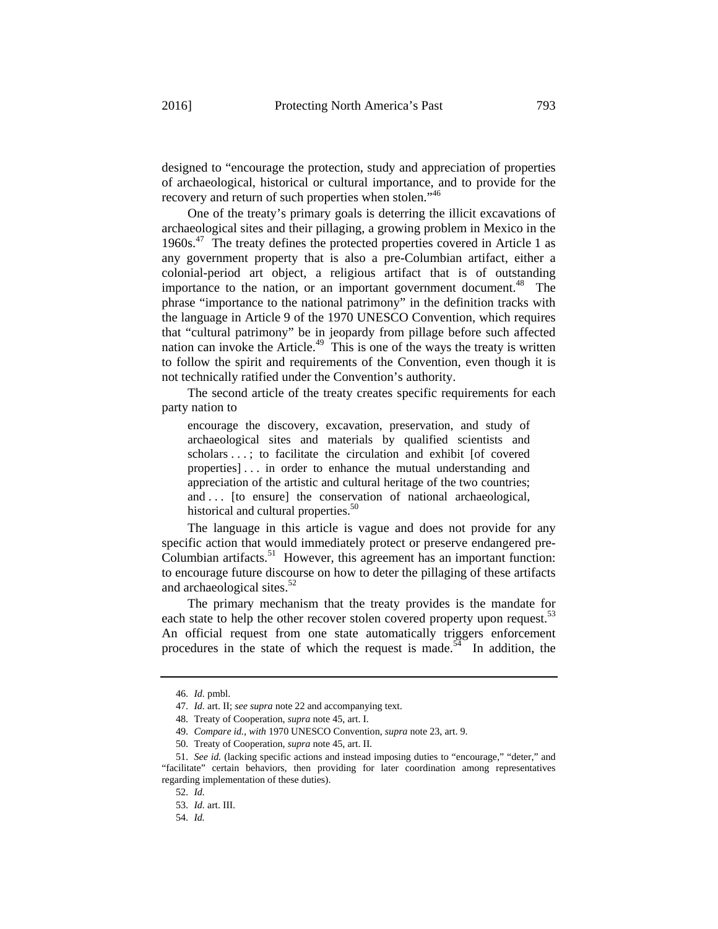designed to "encourage the protection, study and appreciation of properties of archaeological, historical or cultural importance, and to provide for the recovery and return of such properties when stolen."<sup>46</sup>

One of the treaty's primary goals is deterring the illicit excavations of archaeological sites and their pillaging, a growing problem in Mexico in the 1960s. $47$  The treaty defines the protected properties covered in Article 1 as any government property that is also a pre-Columbian artifact, either a colonial-period art object, a religious artifact that is of outstanding importance to the nation, or an important government document.<sup>48</sup> The phrase "importance to the national patrimony" in the definition tracks with the language in Article 9 of the 1970 UNESCO Convention, which requires that "cultural patrimony" be in jeopardy from pillage before such affected nation can invoke the Article.<sup>49</sup> This is one of the ways the treaty is written to follow the spirit and requirements of the Convention, even though it is not technically ratified under the Convention's authority.

The second article of the treaty creates specific requirements for each party nation to

encourage the discovery, excavation, preservation, and study of archaeological sites and materials by qualified scientists and scholars . . .; to facilitate the circulation and exhibit [of covered properties] . . . in order to enhance the mutual understanding and appreciation of the artistic and cultural heritage of the two countries; and . . . [to ensure] the conservation of national archaeological, historical and cultural properties.<sup>50</sup>

The language in this article is vague and does not provide for any specific action that would immediately protect or preserve endangered pre-Columbian artifacts.<sup>51</sup> However, this agreement has an important function: to encourage future discourse on how to deter the pillaging of these artifacts and archaeological sites.<sup>52</sup>

The primary mechanism that the treaty provides is the mandate for each state to help the other recover stolen covered property upon request.<sup>53</sup> An official request from one state automatically triggers enforcement procedures in the state of which the request is made.<sup>54</sup> In addition, the

<sup>46.</sup> *Id.* pmbl.

<sup>47.</sup> *Id.* art. II; *see supra* note 22 and accompanying text.

<sup>48.</sup> Treaty of Cooperation, *supra* note 45, art. I.

<sup>49.</sup> *Compare id.*, *with* 1970 UNESCO Convention, *supra* note 23, art. 9.

<sup>50.</sup> Treaty of Cooperation, *supra* note 45, art. II.

<sup>51.</sup> *See id.* (lacking specific actions and instead imposing duties to "encourage," "deter," and "facilitate" certain behaviors, then providing for later coordination among representatives regarding implementation of these duties).

<sup>52.</sup> *Id.*

<sup>53.</sup> *Id.* art. III.

<sup>54.</sup> *Id.*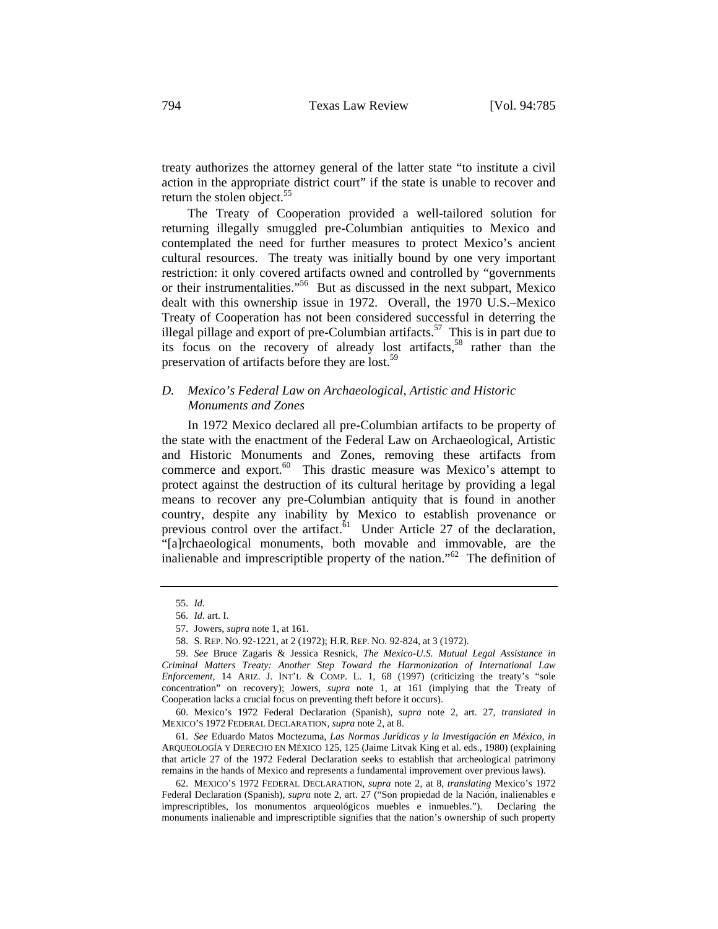treaty authorizes the attorney general of the latter state "to institute a civil action in the appropriate district court" if the state is unable to recover and return the stolen object.<sup>55</sup>

The Treaty of Cooperation provided a well-tailored solution for returning illegally smuggled pre-Columbian antiquities to Mexico and contemplated the need for further measures to protect Mexico's ancient cultural resources. The treaty was initially bound by one very important restriction: it only covered artifacts owned and controlled by "governments or their instrumentalities."56 But as discussed in the next subpart, Mexico dealt with this ownership issue in 1972. Overall, the 1970 U.S.–Mexico Treaty of Cooperation has not been considered successful in deterring the illegal pillage and export of pre-Columbian artifacts.<sup>57</sup> This is in part due to its focus on the recovery of already lost artifacts,  $58$  rather than the preservation of artifacts before they are lost.<sup>59</sup>

# *D. Mexico's Federal Law on Archaeological, Artistic and Historic Monuments and Zones*

In 1972 Mexico declared all pre-Columbian artifacts to be property of the state with the enactment of the Federal Law on Archaeological, Artistic and Historic Monuments and Zones, removing these artifacts from commerce and export.<sup>60</sup> This drastic measure was Mexico's attempt to protect against the destruction of its cultural heritage by providing a legal means to recover any pre-Columbian antiquity that is found in another country, despite any inability by Mexico to establish provenance or previous control over the artifact. $61$  Under Article 27 of the declaration, "[a]rchaeological monuments, both movable and immovable, are the inalienable and imprescriptible property of the nation."62 The definition of

61. *See* Eduardo Matos Moctezuma, *Las Normas Jurídicas y la Investigación en México*, *in* ARQUEOLOGÍA Y DERECHO EN MÉXICO 125, 125 (Jaime Litvak King et al. eds., 1980) (explaining that article 27 of the 1972 Federal Declaration seeks to establish that archeological patrimony remains in the hands of Mexico and represents a fundamental improvement over previous laws).

<sup>55.</sup> *Id.*

<sup>56.</sup> *Id.* art. I.

<sup>57.</sup> Jowers, *supra* note 1, at 161.

<sup>58.</sup> S. REP. NO. 92-1221, at 2 (1972); H.R. REP. NO. 92-824, at 3 (1972).

<sup>59.</sup> *See* Bruce Zagaris & Jessica Resnick, *The Mexico-U.S. Mutual Legal Assistance in Criminal Matters Treaty: Another Step Toward the Harmonization of International Law Enforcement*, 14 ARIZ. J. INT'L & COMP. L. 1, 68 (1997) (criticizing the treaty's "sole concentration" on recovery); Jowers, *supra* note 1, at 161 (implying that the Treaty of Cooperation lacks a crucial focus on preventing theft before it occurs).

<sup>60.</sup> Mexico's 1972 Federal Declaration (Spanish), *supra* note 2, art. 27, *translated in*  MEXICO'S 1972 FEDERAL DECLARATION, *supra* note 2, at 8.

<sup>62.</sup> MEXICO'S 1972 FEDERAL DECLARATION, *supra* note 2, at 8, *translating* Mexico's 1972 Federal Declaration (Spanish), *supra* note 2, art. 27 ("Son propiedad de la Nación, inalienables e imprescriptibles, los monumentos arqueológicos muebles e inmuebles."). Declaring the monuments inalienable and imprescriptible signifies that the nation's ownership of such property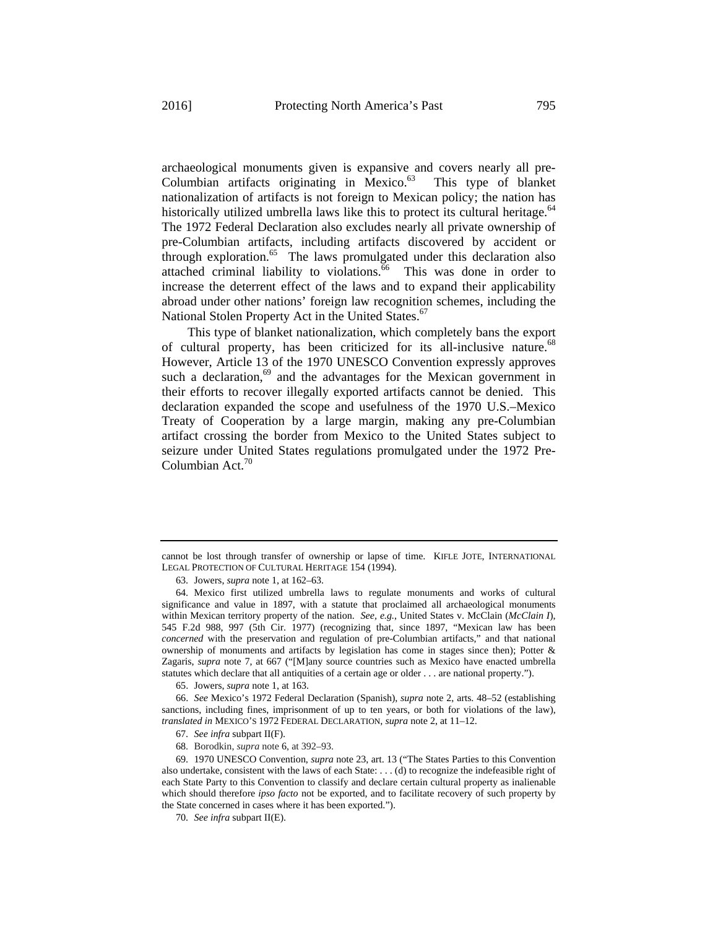archaeological monuments given is expansive and covers nearly all pre-Columbian artifacts originating in Mexico. $63$  This type of blanket nationalization of artifacts is not foreign to Mexican policy; the nation has historically utilized umbrella laws like this to protect its cultural heritage.<sup>64</sup> The 1972 Federal Declaration also excludes nearly all private ownership of pre-Columbian artifacts, including artifacts discovered by accident or through exploration.<sup>65</sup> The laws promulgated under this declaration also attached criminal liability to violations.<sup>66</sup> This was done in order to increase the deterrent effect of the laws and to expand their applicability abroad under other nations' foreign law recognition schemes, including the National Stolen Property Act in the United States.<sup>67</sup>

This type of blanket nationalization, which completely bans the export of cultural property, has been criticized for its all-inclusive nature.<sup>68</sup> However, Article 13 of the 1970 UNESCO Convention expressly approves such a declaration, $69$  and the advantages for the Mexican government in their efforts to recover illegally exported artifacts cannot be denied. This declaration expanded the scope and usefulness of the 1970 U.S.–Mexico Treaty of Cooperation by a large margin, making any pre-Columbian artifact crossing the border from Mexico to the United States subject to seizure under United States regulations promulgated under the 1972 Pre-Columbian Act. $70$ 

65. Jowers, *supra* note 1, at 163.

66. *See* Mexico's 1972 Federal Declaration (Spanish), *supra* note 2, arts. 48–52 (establishing sanctions, including fines, imprisonment of up to ten years, or both for violations of the law), *translated in* MEXICO'S 1972 FEDERAL DECLARATION, *supra* note 2, at 11–12.

67. *See infra* subpart II(F).

68. Borodkin, *supra* note 6, at 392–93.

69. 1970 UNESCO Convention, *supra* note 23, art. 13 ("The States Parties to this Convention also undertake, consistent with the laws of each State: . . . (d) to recognize the indefeasible right of each State Party to this Convention to classify and declare certain cultural property as inalienable which should therefore *ipso facto* not be exported, and to facilitate recovery of such property by the State concerned in cases where it has been exported.").

70. *See infra* subpart II(E).

cannot be lost through transfer of ownership or lapse of time.KIFLE JOTE, INTERNATIONAL LEGAL PROTECTION OF CULTURAL HERITAGE 154 (1994).

<sup>63.</sup> Jowers, *supra* note 1, at 162–63.

<sup>64.</sup> Mexico first utilized umbrella laws to regulate monuments and works of cultural significance and value in 1897, with a statute that proclaimed all archaeological monuments within Mexican territory property of the nation. *See, e.g.*, United States v. McClain (*McClain I*), 545 F.2d 988, 997 (5th Cir. 1977) (recognizing that, since 1897, "Mexican law has been *concerned* with the preservation and regulation of pre-Columbian artifacts," and that national ownership of monuments and artifacts by legislation has come in stages since then); Potter  $\&$ Zagaris, *supra* note 7, at 667 ("[M]any source countries such as Mexico have enacted umbrella statutes which declare that all antiquities of a certain age or older . . . are national property.").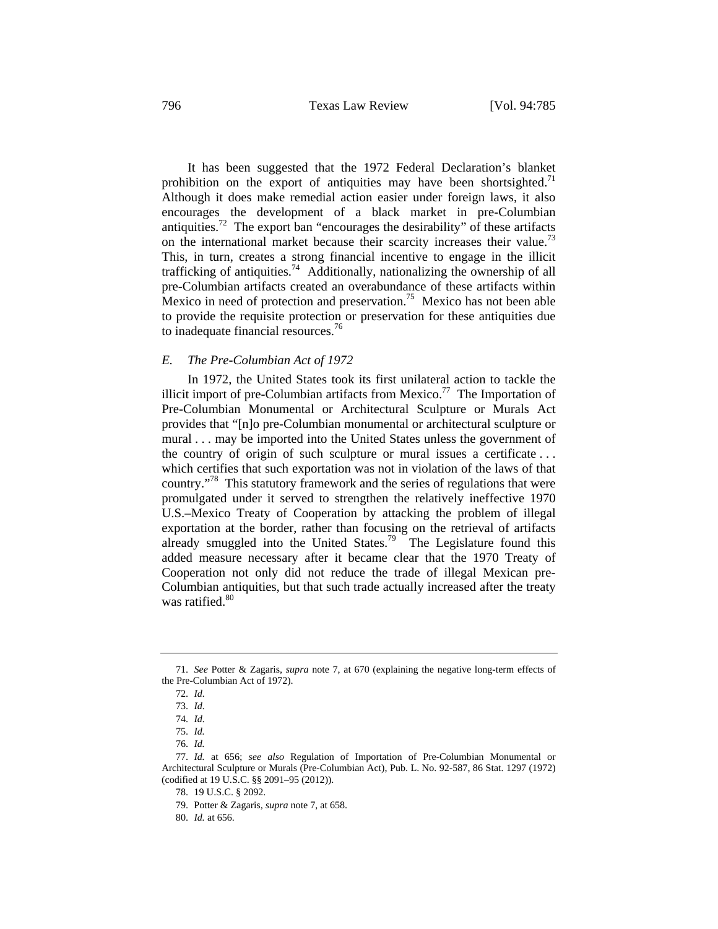It has been suggested that the 1972 Federal Declaration's blanket prohibition on the export of antiquities may have been shortsighted.<sup>71</sup> Although it does make remedial action easier under foreign laws, it also encourages the development of a black market in pre-Columbian antiquities.<sup>72</sup> The export ban "encourages the desirability" of these artifacts on the international market because their scarcity increases their value.<sup>73</sup> This, in turn, creates a strong financial incentive to engage in the illicit trafficking of antiquities.<sup>74</sup> Additionally, nationalizing the ownership of all pre-Columbian artifacts created an overabundance of these artifacts within Mexico in need of protection and preservation.<sup>75</sup> Mexico has not been able to provide the requisite protection or preservation for these antiquities due to inadequate financial resources.<sup>76</sup>

#### *E. The Pre-Columbian Act of 1972*

In 1972, the United States took its first unilateral action to tackle the illicit import of pre-Columbian artifacts from Mexico.<sup>77</sup> The Importation of Pre-Columbian Monumental or Architectural Sculpture or Murals Act provides that "[n]o pre-Columbian monumental or architectural sculpture or mural . . . may be imported into the United States unless the government of the country of origin of such sculpture or mural issues a certificate . . . which certifies that such exportation was not in violation of the laws of that country."78 This statutory framework and the series of regulations that were promulgated under it served to strengthen the relatively ineffective 1970 U.S.–Mexico Treaty of Cooperation by attacking the problem of illegal exportation at the border, rather than focusing on the retrieval of artifacts already smuggled into the United States.<sup>79</sup> The Legislature found this added measure necessary after it became clear that the 1970 Treaty of Cooperation not only did not reduce the trade of illegal Mexican pre-Columbian antiquities, but that such trade actually increased after the treaty was ratified.<sup>80</sup>

<sup>71.</sup> *See* Potter & Zagaris, *supra* note 7, at 670 (explaining the negative long-term effects of the Pre-Columbian Act of 1972).

<sup>72.</sup> *Id.*

<sup>73.</sup> *Id.*

<sup>74.</sup> *Id.*

<sup>75.</sup> *Id.*

<sup>76.</sup> *Id.*

<sup>77.</sup> *Id.* at 656; *see also* Regulation of Importation of Pre-Columbian Monumental or Architectural Sculpture or Murals (Pre-Columbian Act), Pub. L. No. 92-587, 86 Stat. 1297 (1972) (codified at 19 U.S.C. §§ 2091–95 (2012)).

<sup>78. 19</sup> U.S.C. § 2092.

<sup>79.</sup> Potter & Zagaris, *supra* note 7, at 658.

<sup>80.</sup> *Id.* at 656.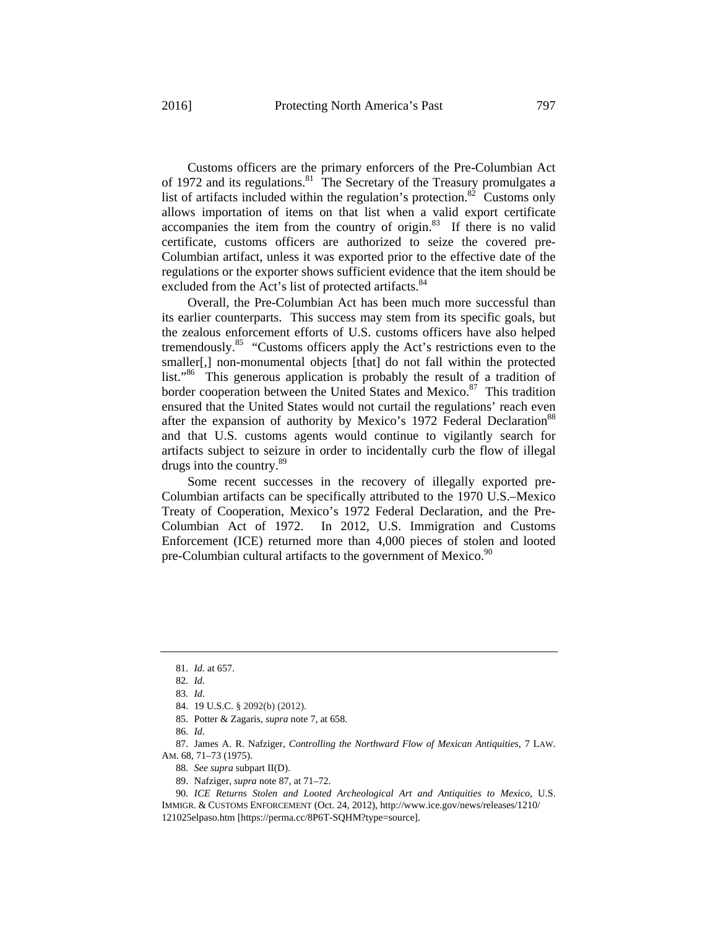Customs officers are the primary enforcers of the Pre-Columbian Act of 1972 and its regulations.<sup>81</sup> The Secretary of the Treasury promulgates a list of artifacts included within the regulation's protection.<sup>82</sup> Customs only allows importation of items on that list when a valid export certificate accompanies the item from the country of origin.83 If there is no valid certificate, customs officers are authorized to seize the covered pre-Columbian artifact, unless it was exported prior to the effective date of the regulations or the exporter shows sufficient evidence that the item should be excluded from the Act's list of protected artifacts.<sup>84</sup>

Overall, the Pre-Columbian Act has been much more successful than its earlier counterparts. This success may stem from its specific goals, but the zealous enforcement efforts of U.S. customs officers have also helped tremendously.<sup>85</sup> "Customs officers apply the Act's restrictions even to the smaller[,] non-monumental objects [that] do not fall within the protected list."86 This generous application is probably the result of a tradition of border cooperation between the United States and Mexico.<sup>87</sup> This tradition ensured that the United States would not curtail the regulations' reach even after the expansion of authority by Mexico's 1972 Federal Declaration<sup>88</sup> and that U.S. customs agents would continue to vigilantly search for artifacts subject to seizure in order to incidentally curb the flow of illegal drugs into the country.<sup>89</sup>

Some recent successes in the recovery of illegally exported pre-Columbian artifacts can be specifically attributed to the 1970 U.S.–Mexico Treaty of Cooperation, Mexico's 1972 Federal Declaration, and the Pre-Columbian Act of 1972. In 2012, U.S. Immigration and Customs Enforcement (ICE) returned more than 4,000 pieces of stolen and looted pre-Columbian cultural artifacts to the government of Mexico.<sup>90</sup>

- 88. *See supra* subpart II(D).
- 89. Nafziger, *supra* note 87, at 71–72.

<sup>81.</sup> *Id.* at 657.

<sup>82.</sup> *Id.*

<sup>83.</sup> *Id.*

<sup>84. 19</sup> U.S.C. § 2092(b) (2012).

<sup>85.</sup> Potter & Zagaris, *supra* note 7, at 658.

<sup>86.</sup> *Id.*

<sup>87.</sup> James A. R. Nafziger, *Controlling the Northward Flow of Mexican Antiquities*, 7 LAW. AM. 68, 71–73 (1975).

<sup>90.</sup> *ICE Returns Stolen and Looted Archeological Art and Antiquities to Mexico*, U.S. IMMIGR. & CUSTOMS ENFORCEMENT (Oct. 24, 2012), http://www.ice.gov/news/releases/1210/ 121025elpaso.htm [https://perma.cc/8P6T-SQHM?type=source].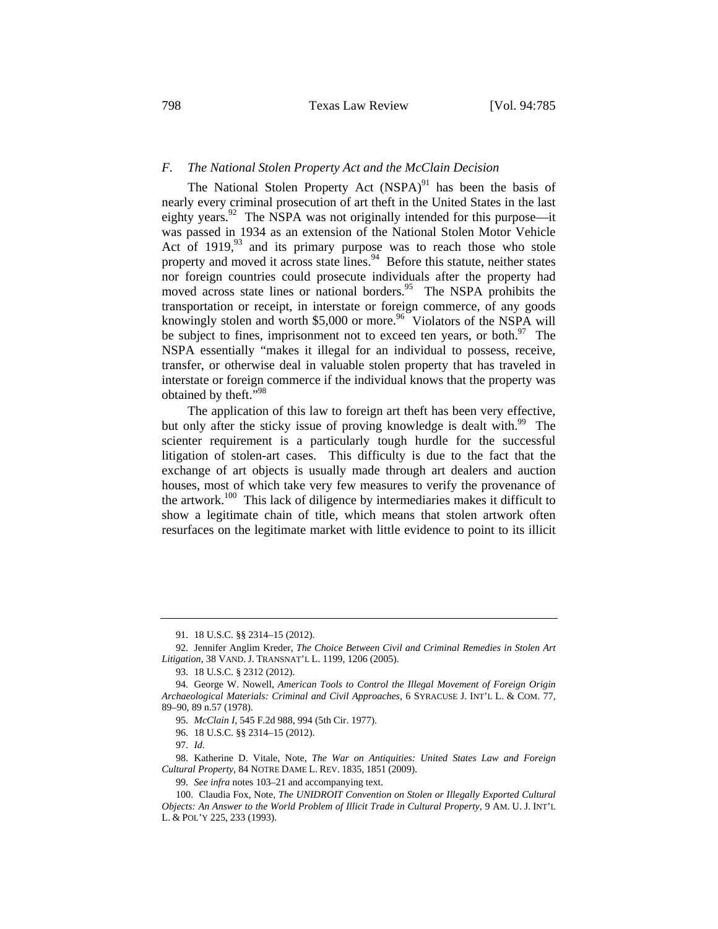### *F. The National Stolen Property Act and the McClain Decision*

The National Stolen Property Act  $(NSPA)^{91}$  has been the basis of nearly every criminal prosecution of art theft in the United States in the last eighty years.<sup>92</sup> The NSPA was not originally intended for this purpose—it was passed in 1934 as an extension of the National Stolen Motor Vehicle Act of  $1919$ ,  $93$  and its primary purpose was to reach those who stole property and moved it across state lines.<sup>94</sup> Before this statute, neither states nor foreign countries could prosecute individuals after the property had moved across state lines or national borders.<sup>95</sup> The NSPA prohibits the transportation or receipt, in interstate or foreign commerce, of any goods knowingly stolen and worth \$5,000 or more.<sup>96</sup> Violators of the NSPA will be subject to fines, imprisonment not to exceed ten years, or both. $^{97}$  The NSPA essentially "makes it illegal for an individual to possess, receive, transfer, or otherwise deal in valuable stolen property that has traveled in interstate or foreign commerce if the individual knows that the property was obtained by theft."<sup>98</sup>

The application of this law to foreign art theft has been very effective, but only after the sticky issue of proving knowledge is dealt with.<sup>99</sup> The scienter requirement is a particularly tough hurdle for the successful litigation of stolen-art cases. This difficulty is due to the fact that the exchange of art objects is usually made through art dealers and auction houses, most of which take very few measures to verify the provenance of the artwork.<sup>100</sup> This lack of diligence by intermediaries makes it difficult to show a legitimate chain of title, which means that stolen artwork often resurfaces on the legitimate market with little evidence to point to its illicit

96. 18 U.S.C. §§ 2314–15 (2012).

97. *Id.*

98. Katherine D. Vitale, Note, *The War on Antiquities: United States Law and Foreign Cultural Property*, 84 NOTRE DAME L. REV. 1835, 1851 (2009).

99. *See infra* notes 103–21 and accompanying text.

<sup>91. 18</sup> U.S.C. §§ 2314–15 (2012).

<sup>92.</sup> Jennifer Anglim Kreder, *The Choice Between Civil and Criminal Remedies in Stolen Art Litigation*, 38 VAND. J. TRANSNAT'L L. 1199, 1206 (2005).

<sup>93. 18</sup> U.S.C. § 2312 (2012).

<sup>94.</sup> George W. Nowell, *American Tools to Control the Illegal Movement of Foreign Origin Archaeological Materials: Criminal and Civil Approaches*, 6 SYRACUSE J. INT'L L. & COM. 77, 89–90, 89 n.57 (1978).

<sup>95.</sup> *McClain I*, 545 F.2d 988, 994 (5th Cir. 1977).

<sup>100.</sup> Claudia Fox, Note, *The UNIDROIT Convention on Stolen or Illegally Exported Cultural Objects: An Answer to the World Problem of Illicit Trade in Cultural Property*, 9 AM. U. J. INT'L L. & POL'Y 225, 233 (1993).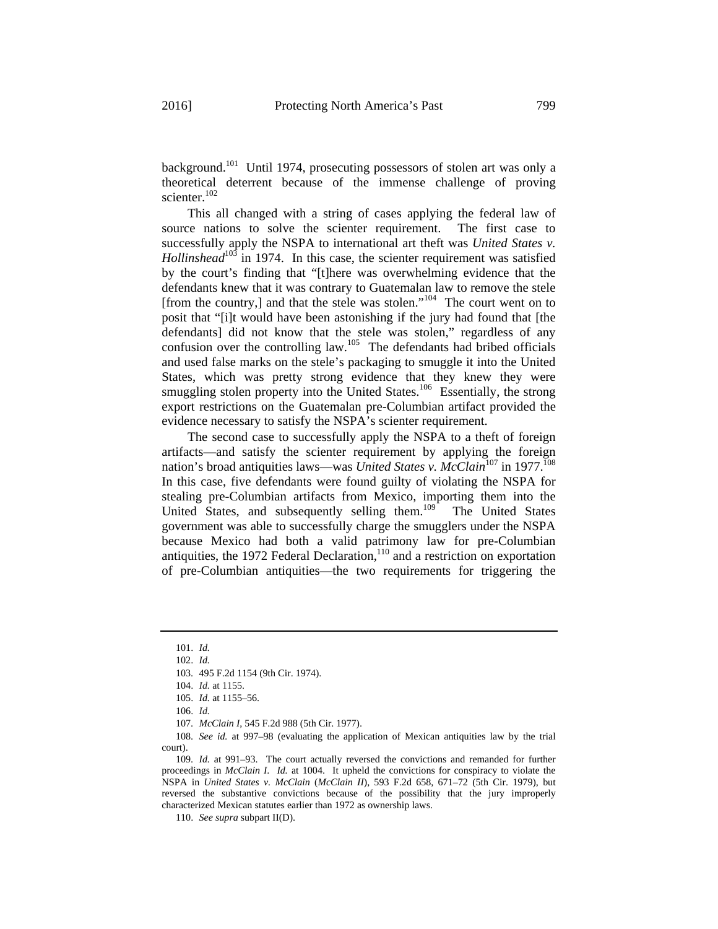background.<sup>101</sup> Until 1974, prosecuting possessors of stolen art was only a theoretical deterrent because of the immense challenge of proving scienter.<sup>102</sup>

This all changed with a string of cases applying the federal law of source nations to solve the scienter requirement. The first case to successfully apply the NSPA to international art theft was *United States v. Hollinshead*<sup>103</sup> in 1974. In this case, the scienter requirement was satisfied by the court's finding that "[t]here was overwhelming evidence that the defendants knew that it was contrary to Guatemalan law to remove the stele [from the country,] and that the stele was stolen."<sup>104</sup> The court went on to posit that "[i]t would have been astonishing if the jury had found that [the defendants] did not know that the stele was stolen," regardless of any confusion over the controlling law.<sup>105</sup> The defendants had bribed officials and used false marks on the stele's packaging to smuggle it into the United States, which was pretty strong evidence that they knew they were smuggling stolen property into the United States.<sup>106</sup> Essentially, the strong export restrictions on the Guatemalan pre-Columbian artifact provided the evidence necessary to satisfy the NSPA's scienter requirement.

The second case to successfully apply the NSPA to a theft of foreign artifacts—and satisfy the scienter requirement by applying the foreign nation's broad antiquities laws—was *United States v. McClain*<sup>107</sup> in 1977.<sup>108</sup> In this case, five defendants were found guilty of violating the NSPA for stealing pre-Columbian artifacts from Mexico, importing them into the United States, and subsequently selling them.<sup>109</sup> The United States government was able to successfully charge the smugglers under the NSPA because Mexico had both a valid patrimony law for pre-Columbian antiquities, the 1972 Federal Declaration,<sup>110</sup> and a restriction on exportation of pre-Columbian antiquities—the two requirements for triggering the

110. *See supra* subpart II(D).

<sup>101.</sup> *Id.*

<sup>102.</sup> *Id.*

<sup>103. 495</sup> F.2d 1154 (9th Cir. 1974).

<sup>104.</sup> *Id.* at 1155.

<sup>105.</sup> *Id.* at 1155–56.

<sup>106.</sup> *Id.*

<sup>107.</sup> *McClain I*, 545 F.2d 988 (5th Cir. 1977).

<sup>108.</sup> *See id.* at 997–98 (evaluating the application of Mexican antiquities law by the trial court).

<sup>109.</sup> *Id.* at 991–93. The court actually reversed the convictions and remanded for further proceedings in *McClain I*. *Id.* at 1004. It upheld the convictions for conspiracy to violate the NSPA in *United States v. McClain* (*McClain II*), 593 F.2d 658, 671–72 (5th Cir. 1979), but reversed the substantive convictions because of the possibility that the jury improperly characterized Mexican statutes earlier than 1972 as ownership laws.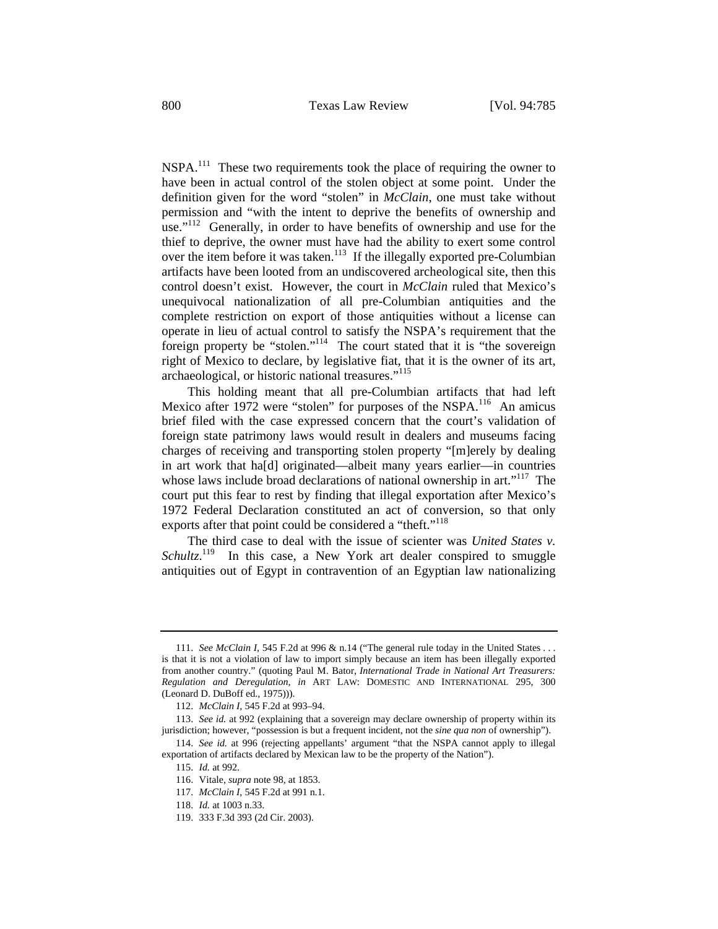NSPA.<sup>111</sup> These two requirements took the place of requiring the owner to have been in actual control of the stolen object at some point. Under the definition given for the word "stolen" in *McClain*, one must take without permission and "with the intent to deprive the benefits of ownership and use."<sup>112</sup> Generally, in order to have benefits of ownership and use for the thief to deprive, the owner must have had the ability to exert some control over the item before it was taken.<sup>113</sup> If the illegally exported pre-Columbian artifacts have been looted from an undiscovered archeological site, then this control doesn't exist. However, the court in *McClain* ruled that Mexico's unequivocal nationalization of all pre-Columbian antiquities and the complete restriction on export of those antiquities without a license can operate in lieu of actual control to satisfy the NSPA's requirement that the foreign property be "stolen."114 The court stated that it is "the sovereign right of Mexico to declare, by legislative fiat, that it is the owner of its art, archaeological, or historic national treasures."<sup>115</sup>

This holding meant that all pre-Columbian artifacts that had left Mexico after 1972 were "stolen" for purposes of the NSPA.<sup>116</sup> An amicus brief filed with the case expressed concern that the court's validation of foreign state patrimony laws would result in dealers and museums facing charges of receiving and transporting stolen property "[m]erely by dealing in art work that ha[d] originated—albeit many years earlier—in countries whose laws include broad declarations of national ownership in art."<sup>117</sup> The court put this fear to rest by finding that illegal exportation after Mexico's 1972 Federal Declaration constituted an act of conversion, so that only exports after that point could be considered a "theft."<sup>118</sup>

The third case to deal with the issue of scienter was *United States v.*  Schultz.<sup>119</sup> In this case, a New York art dealer conspired to smuggle antiquities out of Egypt in contravention of an Egyptian law nationalizing

<sup>111.</sup> *See McClain I*, 545 F.2d at 996 & n.14 ("The general rule today in the United States . . . is that it is not a violation of law to import simply because an item has been illegally exported from another country." (quoting Paul M. Bator, *International Trade in National Art Treasurers: Regulation and Deregulation*, *in* ART LAW: DOMESTIC AND INTERNATIONAL 295, 300 (Leonard D. DuBoff ed., 1975))).

<sup>112.</sup> *McClain I*, 545 F.2d at 993–94.

<sup>113.</sup> *See id.* at 992 (explaining that a sovereign may declare ownership of property within its jurisdiction; however, "possession is but a frequent incident, not the *sine qua non* of ownership").

<sup>114.</sup> *See id.* at 996 (rejecting appellants' argument "that the NSPA cannot apply to illegal exportation of artifacts declared by Mexican law to be the property of the Nation").

<sup>115.</sup> *Id.* at 992.

<sup>116.</sup> Vitale, *supra* note 98, at 1853.

<sup>117.</sup> *McClain I*, 545 F.2d at 991 n.1.

<sup>118.</sup> *Id.* at 1003 n.33.

<sup>119. 333</sup> F.3d 393 (2d Cir. 2003).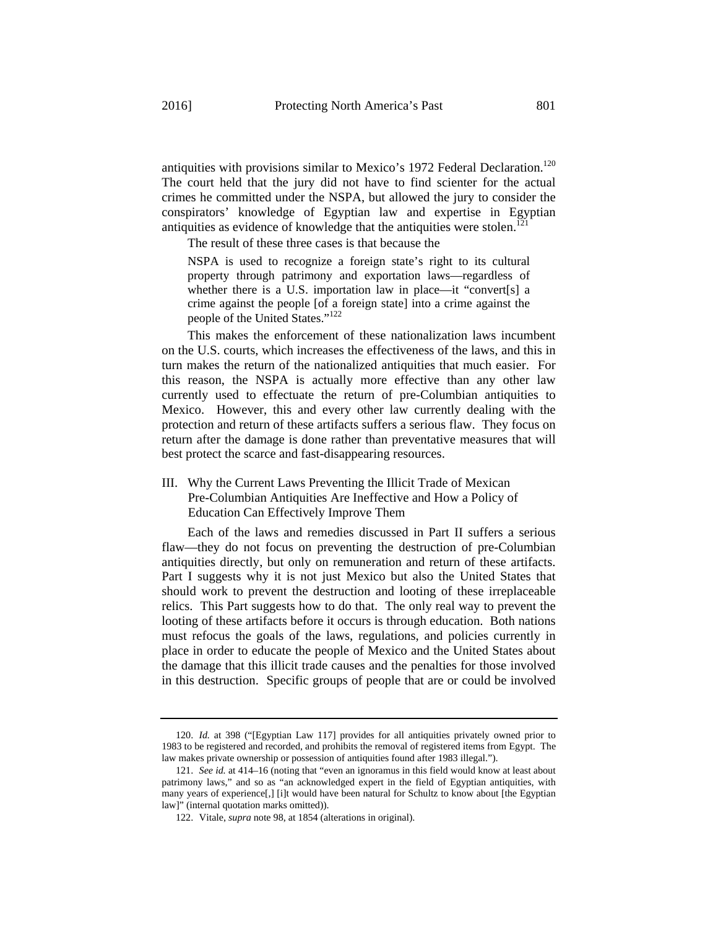antiquities with provisions similar to Mexico's 1972 Federal Declaration.<sup>120</sup> The court held that the jury did not have to find scienter for the actual crimes he committed under the NSPA, but allowed the jury to consider the conspirators' knowledge of Egyptian law and expertise in Egyptian antiquities as evidence of knowledge that the antiquities were stolen.<sup>12</sup>

The result of these three cases is that because the

NSPA is used to recognize a foreign state's right to its cultural property through patrimony and exportation laws—regardless of whether there is a U.S. importation law in place—it "convert[s] a crime against the people [of a foreign state] into a crime against the people of the United States."122

This makes the enforcement of these nationalization laws incumbent on the U.S. courts, which increases the effectiveness of the laws, and this in turn makes the return of the nationalized antiquities that much easier. For this reason, the NSPA is actually more effective than any other law currently used to effectuate the return of pre-Columbian antiquities to Mexico. However, this and every other law currently dealing with the protection and return of these artifacts suffers a serious flaw. They focus on return after the damage is done rather than preventative measures that will best protect the scarce and fast-disappearing resources.

III. Why the Current Laws Preventing the Illicit Trade of Mexican Pre-Columbian Antiquities Are Ineffective and How a Policy of Education Can Effectively Improve Them

Each of the laws and remedies discussed in Part II suffers a serious flaw—they do not focus on preventing the destruction of pre-Columbian antiquities directly, but only on remuneration and return of these artifacts. Part I suggests why it is not just Mexico but also the United States that should work to prevent the destruction and looting of these irreplaceable relics. This Part suggests how to do that. The only real way to prevent the looting of these artifacts before it occurs is through education. Both nations must refocus the goals of the laws, regulations, and policies currently in place in order to educate the people of Mexico and the United States about the damage that this illicit trade causes and the penalties for those involved in this destruction. Specific groups of people that are or could be involved

<sup>120.</sup> *Id.* at 398 ("[Egyptian Law 117] provides for all antiquities privately owned prior to 1983 to be registered and recorded, and prohibits the removal of registered items from Egypt. The law makes private ownership or possession of antiquities found after 1983 illegal.").

<sup>121.</sup> *See id.* at 414–16 (noting that "even an ignoramus in this field would know at least about patrimony laws," and so as "an acknowledged expert in the field of Egyptian antiquities, with many years of experience[,] [i]t would have been natural for Schultz to know about [the Egyptian law]" (internal quotation marks omitted)).

<sup>122.</sup> Vitale, *supra* note 98, at 1854 (alterations in original).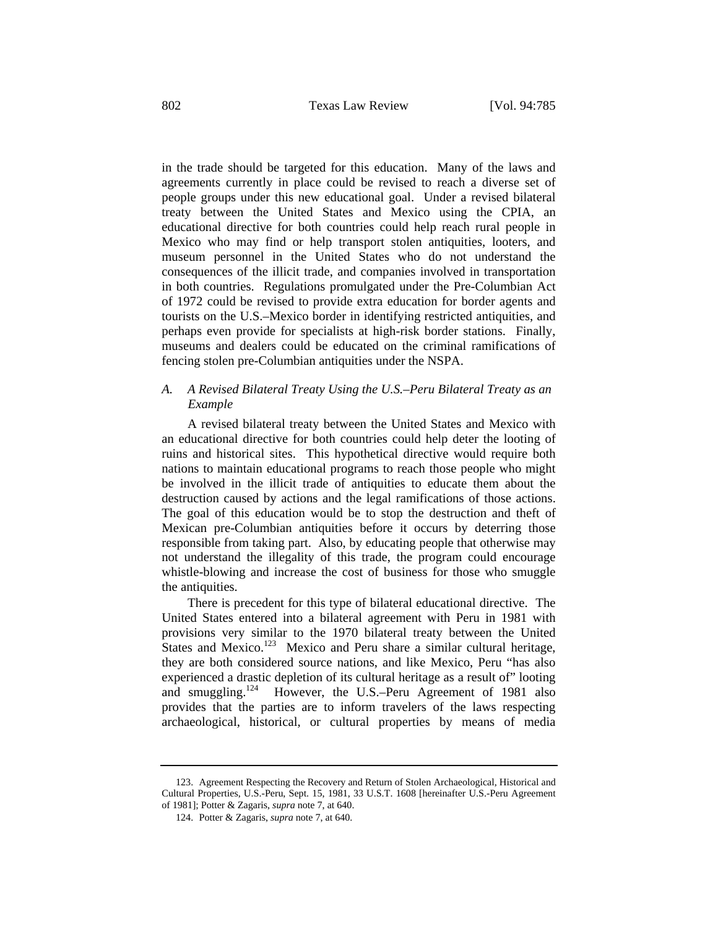in the trade should be targeted for this education. Many of the laws and agreements currently in place could be revised to reach a diverse set of people groups under this new educational goal. Under a revised bilateral treaty between the United States and Mexico using the CPIA, an educational directive for both countries could help reach rural people in Mexico who may find or help transport stolen antiquities, looters, and museum personnel in the United States who do not understand the consequences of the illicit trade, and companies involved in transportation in both countries. Regulations promulgated under the Pre-Columbian Act of 1972 could be revised to provide extra education for border agents and tourists on the U.S.–Mexico border in identifying restricted antiquities, and perhaps even provide for specialists at high-risk border stations. Finally, museums and dealers could be educated on the criminal ramifications of fencing stolen pre-Columbian antiquities under the NSPA.

# *A. A Revised Bilateral Treaty Using the U.S.–Peru Bilateral Treaty as an Example*

A revised bilateral treaty between the United States and Mexico with an educational directive for both countries could help deter the looting of ruins and historical sites. This hypothetical directive would require both nations to maintain educational programs to reach those people who might be involved in the illicit trade of antiquities to educate them about the destruction caused by actions and the legal ramifications of those actions. The goal of this education would be to stop the destruction and theft of Mexican pre-Columbian antiquities before it occurs by deterring those responsible from taking part. Also, by educating people that otherwise may not understand the illegality of this trade, the program could encourage whistle-blowing and increase the cost of business for those who smuggle the antiquities.

There is precedent for this type of bilateral educational directive. The United States entered into a bilateral agreement with Peru in 1981 with provisions very similar to the 1970 bilateral treaty between the United States and Mexico.<sup>123</sup> Mexico and Peru share a similar cultural heritage, they are both considered source nations, and like Mexico, Peru "has also experienced a drastic depletion of its cultural heritage as a result of" looting and smuggling.124 However, the U.S.–Peru Agreement of 1981 also provides that the parties are to inform travelers of the laws respecting archaeological, historical, or cultural properties by means of media

<sup>123.</sup> Agreement Respecting the Recovery and Return of Stolen Archaeological, Historical and Cultural Properties, U.S.-Peru, Sept. 15, 1981, 33 U.S.T. 1608 [hereinafter U.S.-Peru Agreement of 1981]; Potter & Zagaris, *supra* note 7, at 640.

<sup>124.</sup> Potter & Zagaris, *supra* note 7, at 640.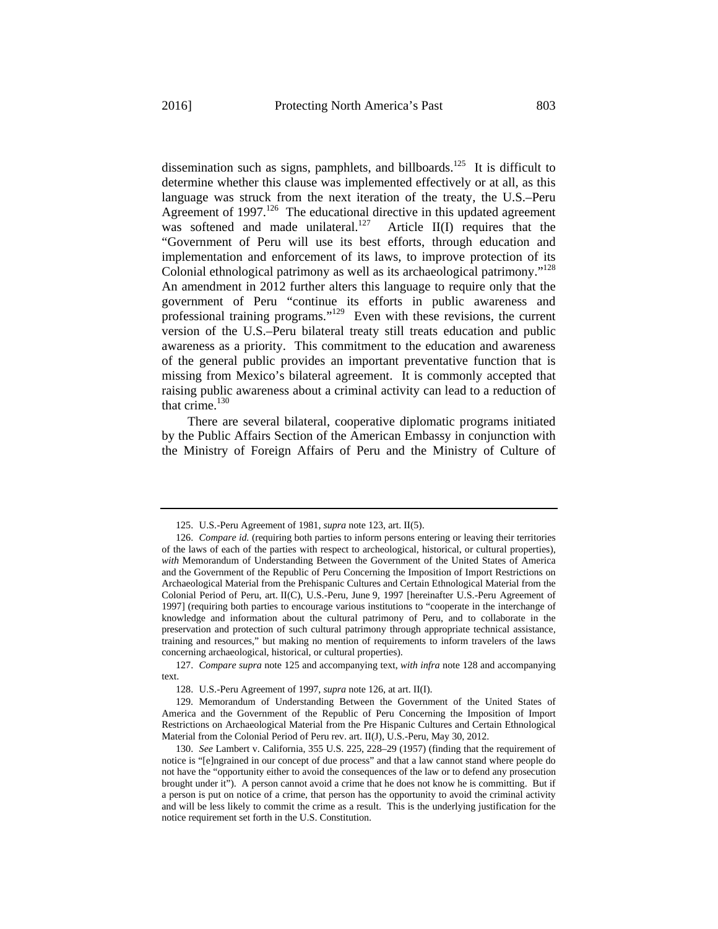dissemination such as signs, pamphlets, and billboards.<sup>125</sup> It is difficult to determine whether this clause was implemented effectively or at all, as this language was struck from the next iteration of the treaty, the U.S.–Peru Agreement of  $1997$ <sup>126</sup> The educational directive in this updated agreement was softened and made unilateral.<sup>127</sup> Article II(I) requires that the "Government of Peru will use its best efforts, through education and implementation and enforcement of its laws, to improve protection of its Colonial ethnological patrimony as well as its archaeological patrimony."128 An amendment in 2012 further alters this language to require only that the government of Peru "continue its efforts in public awareness and professional training programs."129 Even with these revisions, the current version of the U.S.–Peru bilateral treaty still treats education and public awareness as a priority. This commitment to the education and awareness of the general public provides an important preventative function that is missing from Mexico's bilateral agreement. It is commonly accepted that raising public awareness about a criminal activity can lead to a reduction of that crime. $130$ 

There are several bilateral, cooperative diplomatic programs initiated by the Public Affairs Section of the American Embassy in conjunction with the Ministry of Foreign Affairs of Peru and the Ministry of Culture of

<sup>125.</sup> U.S.-Peru Agreement of 1981, *supra* note 123, art. II(5).

<sup>126.</sup> *Compare id.* (requiring both parties to inform persons entering or leaving their territories of the laws of each of the parties with respect to archeological, historical, or cultural properties), *with* Memorandum of Understanding Between the Government of the United States of America and the Government of the Republic of Peru Concerning the Imposition of Import Restrictions on Archaeological Material from the Prehispanic Cultures and Certain Ethnological Material from the Colonial Period of Peru, art. II(C), U.S.-Peru, June 9, 1997 [hereinafter U.S.-Peru Agreement of 1997] (requiring both parties to encourage various institutions to "cooperate in the interchange of knowledge and information about the cultural patrimony of Peru, and to collaborate in the preservation and protection of such cultural patrimony through appropriate technical assistance, training and resources," but making no mention of requirements to inform travelers of the laws concerning archaeological, historical, or cultural properties).

<sup>127.</sup> *Compare supra* note 125 and accompanying text, *with infra* note 128 and accompanying text.

<sup>128.</sup> U.S.-Peru Agreement of 1997, *supra* note 126, at art. II(I).

<sup>129.</sup> Memorandum of Understanding Between the Government of the United States of America and the Government of the Republic of Peru Concerning the Imposition of Import Restrictions on Archaeological Material from the Pre Hispanic Cultures and Certain Ethnological Material from the Colonial Period of Peru rev. art. II(J), U.S.-Peru, May 30, 2012.

<sup>130.</sup> *See* Lambert v. California, 355 U.S. 225, 228–29 (1957) (finding that the requirement of notice is "[e]ngrained in our concept of due process" and that a law cannot stand where people do not have the "opportunity either to avoid the consequences of the law or to defend any prosecution brought under it"). A person cannot avoid a crime that he does not know he is committing. But if a person is put on notice of a crime, that person has the opportunity to avoid the criminal activity and will be less likely to commit the crime as a result. This is the underlying justification for the notice requirement set forth in the U.S. Constitution.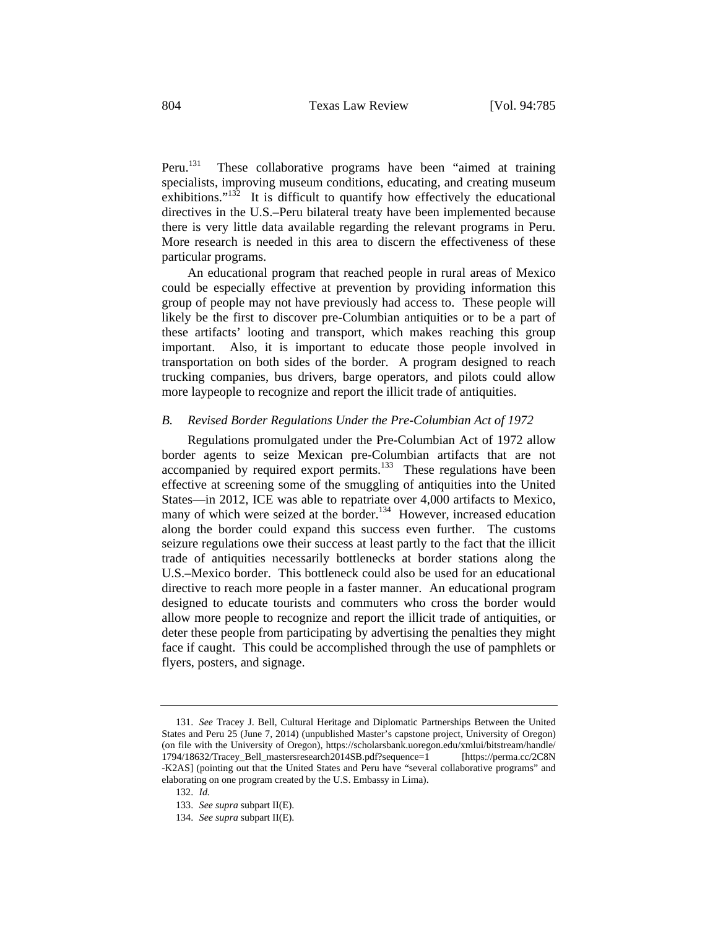Peru.<sup>131</sup> These collaborative programs have been "aimed at training specialists, improving museum conditions, educating, and creating museum exhibitions."<sup>132</sup> It is difficult to quantify how effectively the educational directives in the U.S.–Peru bilateral treaty have been implemented because there is very little data available regarding the relevant programs in Peru. More research is needed in this area to discern the effectiveness of these particular programs.

An educational program that reached people in rural areas of Mexico could be especially effective at prevention by providing information this group of people may not have previously had access to. These people will likely be the first to discover pre-Columbian antiquities or to be a part of these artifacts' looting and transport, which makes reaching this group important. Also, it is important to educate those people involved in transportation on both sides of the border. A program designed to reach trucking companies, bus drivers, barge operators, and pilots could allow more laypeople to recognize and report the illicit trade of antiquities.

### *B. Revised Border Regulations Under the Pre-Columbian Act of 1972*

Regulations promulgated under the Pre-Columbian Act of 1972 allow border agents to seize Mexican pre-Columbian artifacts that are not accompanied by required export permits.<sup>133</sup> These regulations have been effective at screening some of the smuggling of antiquities into the United States—in 2012, ICE was able to repatriate over 4,000 artifacts to Mexico, many of which were seized at the border.<sup>134</sup> However, increased education along the border could expand this success even further. The customs seizure regulations owe their success at least partly to the fact that the illicit trade of antiquities necessarily bottlenecks at border stations along the U.S.–Mexico border. This bottleneck could also be used for an educational directive to reach more people in a faster manner. An educational program designed to educate tourists and commuters who cross the border would allow more people to recognize and report the illicit trade of antiquities, or deter these people from participating by advertising the penalties they might face if caught. This could be accomplished through the use of pamphlets or flyers, posters, and signage.

<sup>131.</sup> *See* Tracey J. Bell, Cultural Heritage and Diplomatic Partnerships Between the United States and Peru 25 (June 7, 2014) (unpublished Master's capstone project, University of Oregon) (on file with the University of Oregon), https://scholarsbank.uoregon.edu/xmlui/bitstream/handle/ 1794/18632/Tracey\_Bell\_mastersresearch2014SB.pdf?sequence=1 [https://perma.cc/2C8N -K2AS] (pointing out that the United States and Peru have "several collaborative programs" and elaborating on one program created by the U.S. Embassy in Lima).

<sup>132.</sup> *Id.*

<sup>133.</sup> *See supra* subpart II(E).

<sup>134.</sup> *See supra* subpart II(E).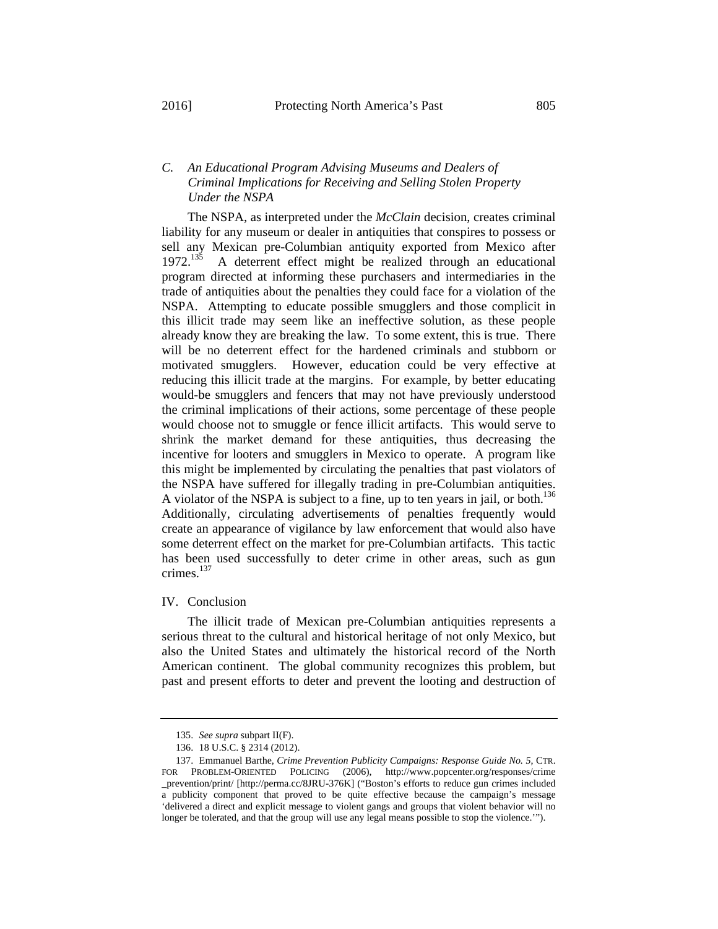# *C. An Educational Program Advising Museums and Dealers of Criminal Implications for Receiving and Selling Stolen Property Under the NSPA*

The NSPA, as interpreted under the *McClain* decision, creates criminal liability for any museum or dealer in antiquities that conspires to possess or sell any Mexican pre-Columbian antiquity exported from Mexico after 1972.<sup>135</sup> A deterrent effect might be realized through an educational A deterrent effect might be realized through an educational program directed at informing these purchasers and intermediaries in the trade of antiquities about the penalties they could face for a violation of the NSPA. Attempting to educate possible smugglers and those complicit in this illicit trade may seem like an ineffective solution, as these people already know they are breaking the law. To some extent, this is true. There will be no deterrent effect for the hardened criminals and stubborn or motivated smugglers. However, education could be very effective at reducing this illicit trade at the margins. For example, by better educating would-be smugglers and fencers that may not have previously understood the criminal implications of their actions, some percentage of these people would choose not to smuggle or fence illicit artifacts. This would serve to shrink the market demand for these antiquities, thus decreasing the incentive for looters and smugglers in Mexico to operate. A program like this might be implemented by circulating the penalties that past violators of the NSPA have suffered for illegally trading in pre-Columbian antiquities. A violator of the NSPA is subject to a fine, up to ten years in jail, or both.<sup>136</sup> Additionally, circulating advertisements of penalties frequently would create an appearance of vigilance by law enforcement that would also have some deterrent effect on the market for pre-Columbian artifacts. This tactic has been used successfully to deter crime in other areas, such as gun crimes.<sup>137</sup>

IV. Conclusion

The illicit trade of Mexican pre-Columbian antiquities represents a serious threat to the cultural and historical heritage of not only Mexico, but also the United States and ultimately the historical record of the North American continent. The global community recognizes this problem, but past and present efforts to deter and prevent the looting and destruction of

<sup>135.</sup> *See supra* subpart II(F).

<sup>136. 18</sup> U.S.C. § 2314 (2012).

<sup>137.</sup> Emmanuel Barthe, *Crime Prevention Publicity Campaigns: Response Guide No. 5*, CTR. FOR PROBLEM-ORIENTED POLICING (2006), http://www.popcenter.org/responses/crime \_prevention/print/ [http://perma.cc/8JRU-376K] ("Boston's efforts to reduce gun crimes included a publicity component that proved to be quite effective because the campaign's message 'delivered a direct and explicit message to violent gangs and groups that violent behavior will no longer be tolerated, and that the group will use any legal means possible to stop the violence.'").